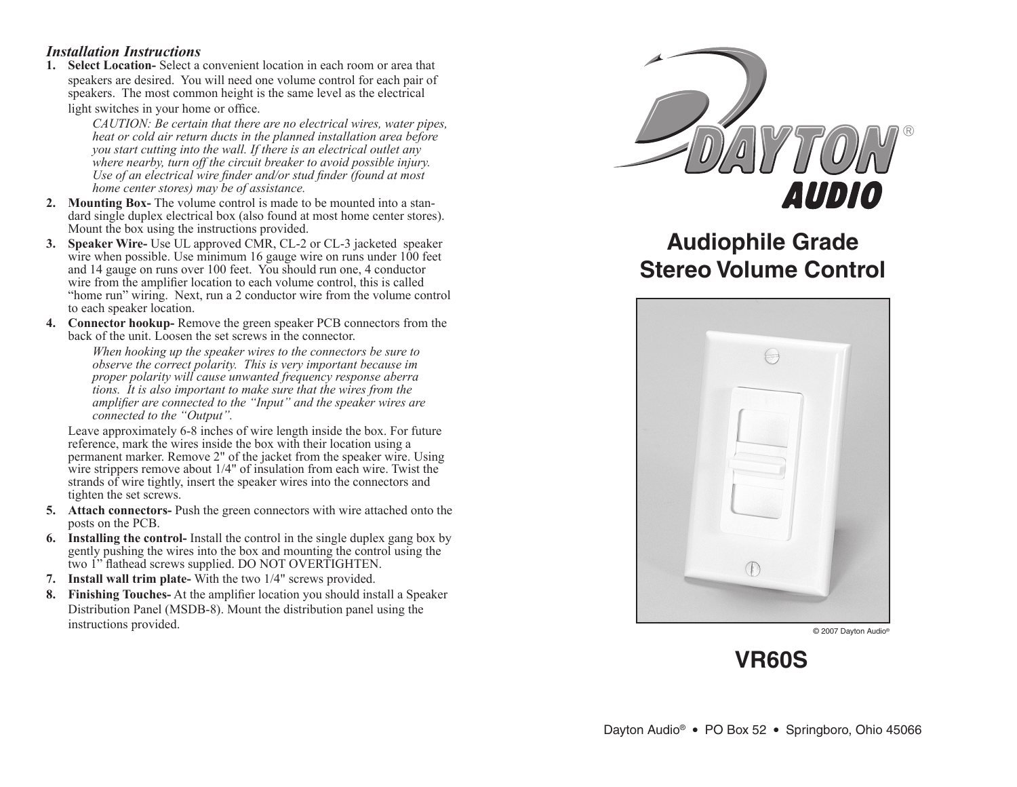## *Installation Instructions*

**1. Select Location-** Select a convenient location in each room or area that speakers are desired. You will need one volume control for each pair of speakers. The most common height is the same level as the electrical light switches in your home or office.

> *CAUTION: Be certain that there are no electrical wires, water pipes, heat or cold air return ducts in the planned installation area before you start cutting into the wall. If there is an electrical outlet any where nearby, turn off the circuit breaker to avoid possible injury. Use of an electrical wire finder and/or stud finder (found at most home center stores) may be of assistance.*

- **2. Mounting Box-** The volume control is made to be mounted into a stan dard single duplex electrical box (also found at most home center stores). Mount the box using the instructions provided.
- **3. Speaker Wire-** Use UL approved CMR, CL-2 or CL-3 jacketed speaker wire when possible. Use minimum 16 gauge wire on runs under 100 feet and 14 gauge on runs over 100 feet. You should run one, 4 conductor wire from the amplifier location to each volume control, this is called "home run" wiring. Next, run a 2 conductor wire from the volume control to each speaker location.
- **4. Connector hookup-** Remove the green speaker PCB connectors from the back of the unit. Loosen the set screws in the connector.

 *When hooking up the speaker wires to the connectors be sure to observe the correct polarity. This is very important because im proper polarity will cause unwanted frequency response aberra tions. It is also important to make sure that the wires from the amplifier are connected to the "Input" and the speaker wires are connected to the "Output".* 

 Leave approximately 6-8 inches of wire length inside the box. For future reference, mark the wires inside the box with their location using a permanent marker. Remove 2" of the jacket from the speaker wire. Using wire strippers remove about 1/4" of insulation from each wire. Twist the strands of wire tightly, insert the speaker wires into the connectors and tighten the set screws.

- **5. Attach connectors-** Push the green connectors with wire attached onto the posts on the PCB.
- **6. Installing the control-** Install the control in the single duplex gang box by gently pushing the wires into the box and mounting the control using the two 1" flathead screws supplied. DO NOT OVERTIGHTEN.
- **7. Install wall trim plate-** With the two 1/4" screws provided.
- **8. Finishing Touches-** At the amplifier location you should install a Speaker Distribution Panel (MSDB-8). Mount the distribution panel using the instructions provided.



## **Audiophile Grade Stereo Volume Control**



© 2007 Dayton Audio®

**VR60S**